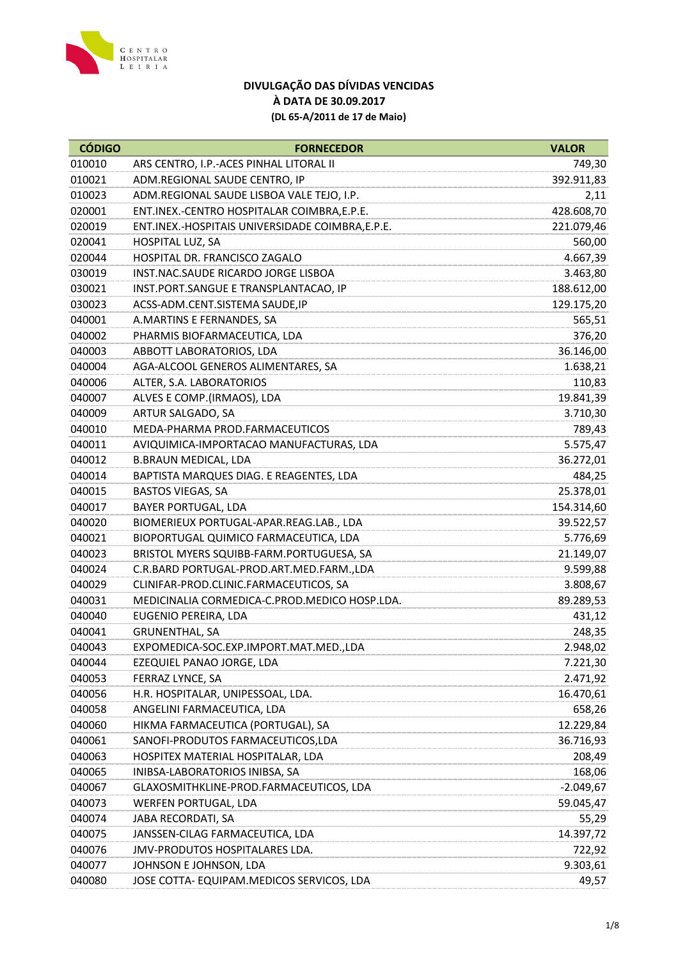

| <b>CÓDIGO</b> | <b>FORNECEDOR</b>                                | <b>VALOR</b> |
|---------------|--------------------------------------------------|--------------|
| 010010        | ARS CENTRO, I.P.-ACES PINHAL LITORAL II          | 749,30       |
| 010021        | ADM.REGIONAL SAUDE CENTRO, IP                    | 392.911,83   |
| 010023        | ADM.REGIONAL SAUDE LISBOA VALE TEJO, I.P.        | 2,11         |
| 020001        | ENT.INEX.-CENTRO HOSPITALAR COIMBRA, E.P.E.      | 428.608,70   |
| 020019        | ENT.INEX.-HOSPITAIS UNIVERSIDADE COIMBRA, E.P.E. | 221.079,46   |
| 020041        | HOSPITAL LUZ, SA                                 | 560,00       |
| 020044        | HOSPITAL DR. FRANCISCO ZAGALO                    | 4.667,39     |
| 030019        | INST.NAC.SAUDE RICARDO JORGE LISBOA              | 3.463,80     |
| 030021        | INST.PORT.SANGUE E TRANSPLANTACAO, IP            | 188.612,00   |
| 030023        | ACSS-ADM.CENT.SISTEMA SAUDE, IP                  | 129.175,20   |
| 040001        | A.MARTINS E FERNANDES, SA                        | 565,51       |
| 040002        | PHARMIS BIOFARMACEUTICA, LDA                     | 376,20       |
| 040003        | ABBOTT LABORATORIOS, LDA                         | 36.146,00    |
| 040004        | AGA-ALCOOL GENEROS ALIMENTARES, SA               | 1.638,21     |
| 040006        | ALTER, S.A. LABORATORIOS                         | 110,83       |
| 040007        | ALVES E COMP. (IRMAOS), LDA                      | 19.841,39    |
| 040009        | ARTUR SALGADO, SA                                | 3.710,30     |
| 040010        | MEDA-PHARMA PROD.FARMACEUTICOS                   | 789,43       |
| 040011        | AVIQUIMICA-IMPORTACAO MANUFACTURAS, LDA          | 5.575,47     |
| 040012        | <b>B.BRAUN MEDICAL, LDA</b>                      | 36.272,01    |
| 040014        | BAPTISTA MARQUES DIAG. E REAGENTES, LDA          | 484,25       |
| 040015        | <b>BASTOS VIEGAS, SA</b>                         | 25.378,01    |
| 040017        | <b>BAYER PORTUGAL, LDA</b>                       | 154.314,60   |
| 040020        | BIOMERIEUX PORTUGAL-APAR.REAG.LAB., LDA          | 39.522,57    |
| 040021        | BIOPORTUGAL QUIMICO FARMACEUTICA, LDA            | 5.776,69     |
| 040023        | BRISTOL MYERS SQUIBB-FARM.PORTUGUESA, SA         | 21.149,07    |
| 040024        | C.R.BARD PORTUGAL-PROD.ART.MED.FARM.,LDA         | 9.599,88     |
| 040029        | CLINIFAR-PROD.CLINIC.FARMACEUTICOS, SA           | 3.808,67     |
| 040031        | MEDICINALIA CORMEDICA-C.PROD.MEDICO HOSP.LDA.    | 89.289,53    |
| 040040        | EUGENIO PEREIRA, LDA                             | 431,12       |
| 040041        | <b>GRUNENTHAL, SA</b>                            | 248,35       |
| 040043        | EXPOMEDICA-SOC.EXP.IMPORT.MAT.MED.,LDA           | 2.948,02     |
| 040044        | EZEQUIEL PANAO JORGE, LDA                        | 7.221,30     |
| 040053        | FERRAZ LYNCE, SA                                 | 2.471,92     |
| 040056        | H.R. HOSPITALAR, UNIPESSOAL, LDA.                | 16.470,61    |
| 040058        | ANGELINI FARMACEUTICA, LDA                       | 658,26       |
| 040060        | HIKMA FARMACEUTICA (PORTUGAL), SA                | 12.229,84    |
| 040061        | SANOFI-PRODUTOS FARMACEUTICOS, LDA               | 36.716,93    |
| 040063        | HOSPITEX MATERIAL HOSPITALAR, LDA                | 208,49       |
| 040065        | INIBSA-LABORATORIOS INIBSA, SA                   | 168,06       |
| 040067        | GLAXOSMITHKLINE-PROD.FARMACEUTICOS, LDA          | $-2.049,67$  |
| 040073        | WERFEN PORTUGAL, LDA                             | 59.045,47    |
| 040074        | JABA RECORDATI, SA                               | 55,29        |
| 040075        | JANSSEN-CILAG FARMACEUTICA, LDA                  | 14.397,72    |
| 040076        | JMV-PRODUTOS HOSPITALARES LDA.                   | 722,92       |
| 040077        | JOHNSON E JOHNSON, LDA                           | 9.303,61     |
| 040080        | JOSE COTTA- EQUIPAM.MEDICOS SERVICOS, LDA        | 49,57        |
|               |                                                  |              |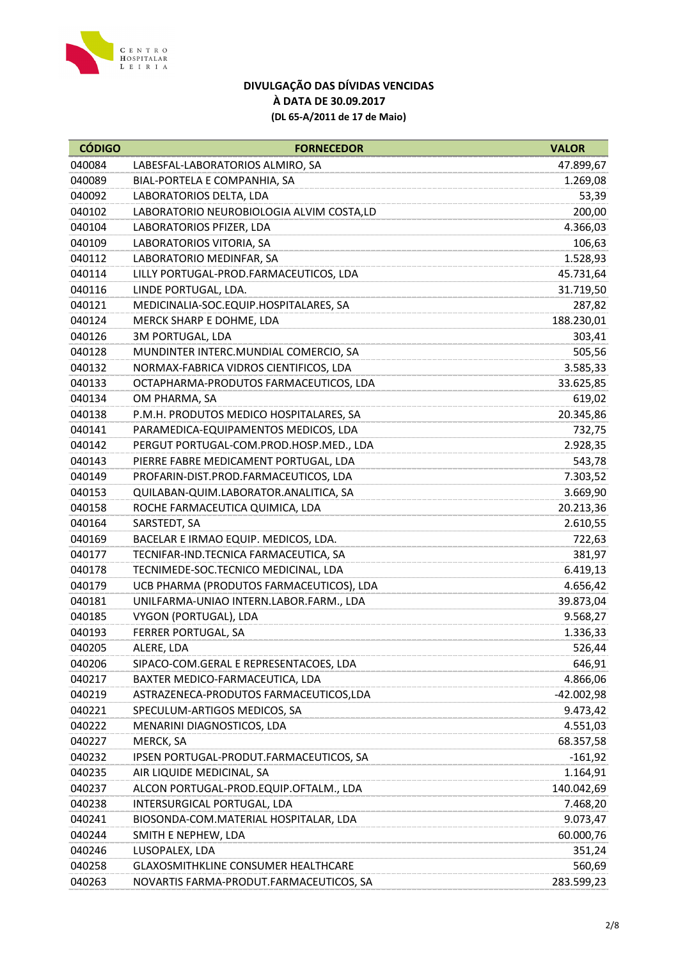

| <b>CÓDIGO</b> | <b>FORNECEDOR</b>                          | <b>VALOR</b> |
|---------------|--------------------------------------------|--------------|
| 040084        | LABESFAL-LABORATORIOS ALMIRO, SA           | 47.899,67    |
| 040089        | BIAL-PORTELA E COMPANHIA, SA               | 1.269,08     |
| 040092        | LABORATORIOS DELTA, LDA                    | 53,39        |
| 040102        | LABORATORIO NEUROBIOLOGIA ALVIM COSTA,LD   | 200,00       |
| 040104        | LABORATORIOS PFIZER, LDA                   | 4.366,03     |
| 040109        | LABORATORIOS VITORIA, SA                   | 106,63       |
| 040112        | LABORATORIO MEDINFAR, SA                   | 1.528,93     |
| 040114        | LILLY PORTUGAL-PROD.FARMACEUTICOS, LDA     | 45.731,64    |
| 040116        | LINDE PORTUGAL, LDA.                       | 31.719,50    |
| 040121        | MEDICINALIA-SOC.EQUIP.HOSPITALARES, SA     | 287,82       |
| 040124        | MERCK SHARP E DOHME, LDA                   | 188.230,01   |
| 040126        | <b>3M PORTUGAL, LDA</b>                    | 303,41       |
| 040128        | MUNDINTER INTERC.MUNDIAL COMERCIO, SA      | 505,56       |
| 040132        | NORMAX-FABRICA VIDROS CIENTIFICOS, LDA     | 3.585,33     |
| 040133        | OCTAPHARMA-PRODUTOS FARMACEUTICOS, LDA     | 33.625,85    |
| 040134        | OM PHARMA, SA                              | 619,02       |
| 040138        | P.M.H. PRODUTOS MEDICO HOSPITALARES, SA    | 20.345,86    |
| 040141        | PARAMEDICA-EQUIPAMENTOS MEDICOS, LDA       | 732,75       |
| 040142        | PERGUT PORTUGAL-COM.PROD.HOSP.MED., LDA    | 2.928,35     |
| 040143        | PIERRE FABRE MEDICAMENT PORTUGAL, LDA      | 543,78       |
| 040149        | PROFARIN-DIST.PROD.FARMACEUTICOS, LDA      | 7.303,52     |
| 040153        | QUILABAN-QUIM.LABORATOR.ANALITICA, SA      | 3.669,90     |
| 040158        | ROCHE FARMACEUTICA QUIMICA, LDA            | 20.213,36    |
| 040164        | SARSTEDT, SA                               | 2.610,55     |
| 040169        | BACELAR E IRMAO EQUIP. MEDICOS, LDA.       | 722,63       |
| 040177        | TECNIFAR-IND.TECNICA FARMACEUTICA, SA      | 381,97       |
| 040178        | TECNIMEDE-SOC.TECNICO MEDICINAL, LDA       | 6.419,13     |
| 040179        | UCB PHARMA (PRODUTOS FARMACEUTICOS), LDA   | 4.656,42     |
| 040181        | UNILFARMA-UNIAO INTERN.LABOR.FARM., LDA    | 39.873,04    |
| 040185        | VYGON (PORTUGAL), LDA                      | 9.568,27     |
| 040193        | FERRER PORTUGAL, SA                        | 1.336,33     |
| 040205        | ALERE, LDA                                 | 526,44       |
| 040206        | SIPACO-COM.GERAL E REPRESENTACOES, LDA     | 646,91       |
| 040217        | BAXTER MEDICO-FARMACEUTICA, LDA            | 4.866,06     |
| 040219        | ASTRAZENECA-PRODUTOS FARMACEUTICOS,LDA     | $-42.002,98$ |
| 040221        | SPECULUM-ARTIGOS MEDICOS, SA               | 9.473,42     |
| 040222        | MENARINI DIAGNOSTICOS, LDA                 | 4.551,03     |
| 040227        | MERCK, SA                                  | 68.357,58    |
| 040232        | IPSEN PORTUGAL-PRODUT.FARMACEUTICOS, SA    | $-161,92$    |
| 040235        | AIR LIQUIDE MEDICINAL, SA                  | 1.164,91     |
| 040237        | ALCON PORTUGAL-PROD.EQUIP.OFTALM., LDA     | 140.042,69   |
| 040238        | INTERSURGICAL PORTUGAL, LDA                | 7.468,20     |
| 040241        | BIOSONDA-COM.MATERIAL HOSPITALAR, LDA      | 9.073,47     |
| 040244        | SMITH E NEPHEW, LDA                        | 60.000,76    |
| 040246        | LUSOPALEX, LDA                             | 351,24       |
| 040258        | <b>GLAXOSMITHKLINE CONSUMER HEALTHCARE</b> | 560,69       |
| 040263        | NOVARTIS FARMA-PRODUT.FARMACEUTICOS, SA    | 283.599,23   |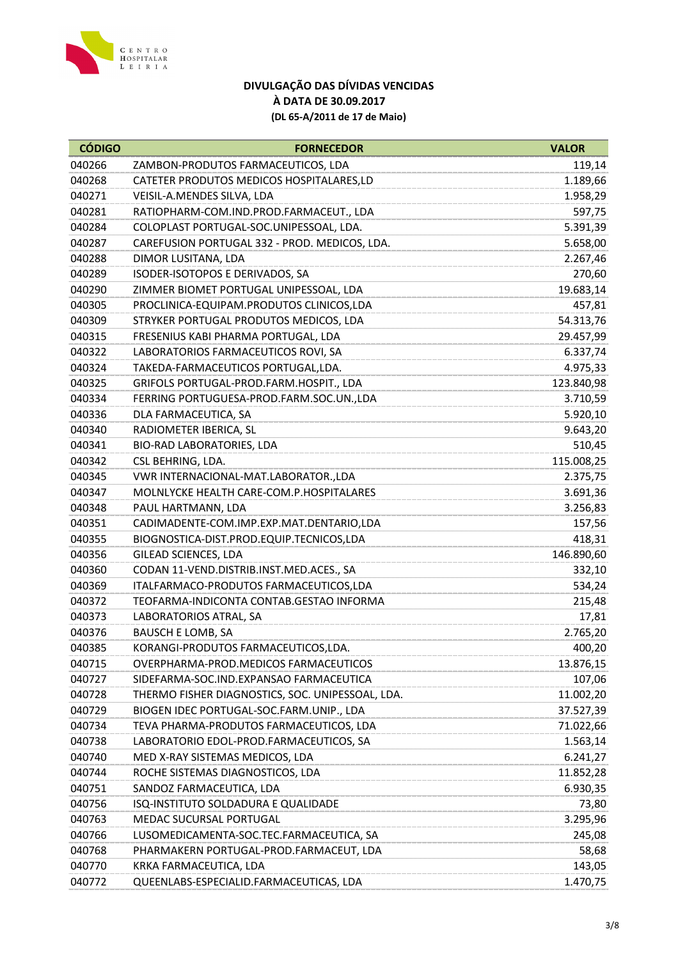

| <b>CÓDIGO</b> | <b>FORNECEDOR</b>                                | <b>VALOR</b> |
|---------------|--------------------------------------------------|--------------|
| 040266        | ZAMBON-PRODUTOS FARMACEUTICOS, LDA               | 119,14       |
| 040268        | CATETER PRODUTOS MEDICOS HOSPITALARES,LD         | 1.189,66     |
| 040271        | VEISIL-A.MENDES SILVA, LDA                       | 1.958,29     |
| 040281        | RATIOPHARM-COM.IND.PROD.FARMACEUT., LDA          | 597,75       |
| 040284        | COLOPLAST PORTUGAL-SOC.UNIPESSOAL, LDA.          | 5.391,39     |
| 040287        | CAREFUSION PORTUGAL 332 - PROD. MEDICOS, LDA.    | 5.658,00     |
| 040288        | DIMOR LUSITANA, LDA                              | 2.267,46     |
| 040289        | ISODER-ISOTOPOS E DERIVADOS, SA                  | 270,60       |
| 040290        | ZIMMER BIOMET PORTUGAL UNIPESSOAL, LDA           | 19.683,14    |
| 040305        | PROCLINICA-EQUIPAM.PRODUTOS CLINICOS,LDA         | 457,81       |
| 040309        | STRYKER PORTUGAL PRODUTOS MEDICOS, LDA           | 54.313,76    |
| 040315        | FRESENIUS KABI PHARMA PORTUGAL, LDA              | 29.457,99    |
| 040322        | LABORATORIOS FARMACEUTICOS ROVI, SA              | 6.337,74     |
| 040324        | TAKEDA-FARMACEUTICOS PORTUGAL, LDA.              | 4.975,33     |
| 040325        | GRIFOLS PORTUGAL-PROD.FARM.HOSPIT., LDA          | 123.840,98   |
| 040334        | FERRING PORTUGUESA-PROD.FARM.SOC.UN.,LDA         | 3.710,59     |
| 040336        | DLA FARMACEUTICA, SA                             | 5.920,10     |
| 040340        | RADIOMETER IBERICA, SL                           | 9.643,20     |
| 040341        | BIO-RAD LABORATORIES, LDA                        | 510,45       |
| 040342        | CSL BEHRING, LDA.                                | 115.008,25   |
| 040345        | VWR INTERNACIONAL-MAT.LABORATOR.,LDA             | 2.375,75     |
| 040347        | MOLNLYCKE HEALTH CARE-COM.P.HOSPITALARES         | 3.691,36     |
| 040348        | PAUL HARTMANN, LDA                               | 3.256,83     |
| 040351        | CADIMADENTE-COM.IMP.EXP.MAT.DENTARIO,LDA         | 157,56       |
| 040355        | BIOGNOSTICA-DIST.PROD.EQUIP.TECNICOS,LDA         | 418,31       |
| 040356        | GILEAD SCIENCES, LDA                             | 146.890,60   |
| 040360        | CODAN 11-VEND.DISTRIB.INST.MED.ACES., SA         | 332,10       |
| 040369        | ITALFARMACO-PRODUTOS FARMACEUTICOS,LDA           | 534,24       |
| 040372        | TEOFARMA-INDICONTA CONTAB.GESTAO INFORMA         | 215,48       |
| 040373        | LABORATORIOS ATRAL, SA                           | 17,81        |
| 040376        | <b>BAUSCH E LOMB, SA</b>                         | 2.765,20     |
| 040385        | KORANGI-PRODUTOS FARMACEUTICOS, LDA.             | 400,20       |
| 040715        | OVERPHARMA-PROD.MEDICOS FARMACEUTICOS            | 13.876,15    |
| 040727        | SIDEFARMA-SOC.IND.EXPANSAO FARMACEUTICA          | 107,06       |
| 040728        | THERMO FISHER DIAGNOSTICS, SOC. UNIPESSOAL, LDA. | 11.002,20    |
| 040729        | BIOGEN IDEC PORTUGAL-SOC.FARM.UNIP., LDA         | 37.527,39    |
| 040734        | TEVA PHARMA-PRODUTOS FARMACEUTICOS, LDA          | 71.022,66    |
| 040738        | LABORATORIO EDOL-PROD.FARMACEUTICOS, SA          | 1.563,14     |
| 040740        | MED X-RAY SISTEMAS MEDICOS, LDA                  | 6.241,27     |
| 040744        | ROCHE SISTEMAS DIAGNOSTICOS, LDA                 | 11.852,28    |
| 040751        | SANDOZ FARMACEUTICA, LDA                         | 6.930,35     |
| 040756        | ISQ-INSTITUTO SOLDADURA E QUALIDADE              | 73,80        |
| 040763        | MEDAC SUCURSAL PORTUGAL                          | 3.295,96     |
| 040766        | LUSOMEDICAMENTA-SOC.TEC.FARMACEUTICA, SA         | 245,08       |
| 040768        | PHARMAKERN PORTUGAL-PROD.FARMACEUT, LDA          | 58,68        |
| 040770        | KRKA FARMACEUTICA, LDA                           | 143,05       |
| 040772        | QUEENLABS-ESPECIALID.FARMACEUTICAS, LDA          | 1.470,75     |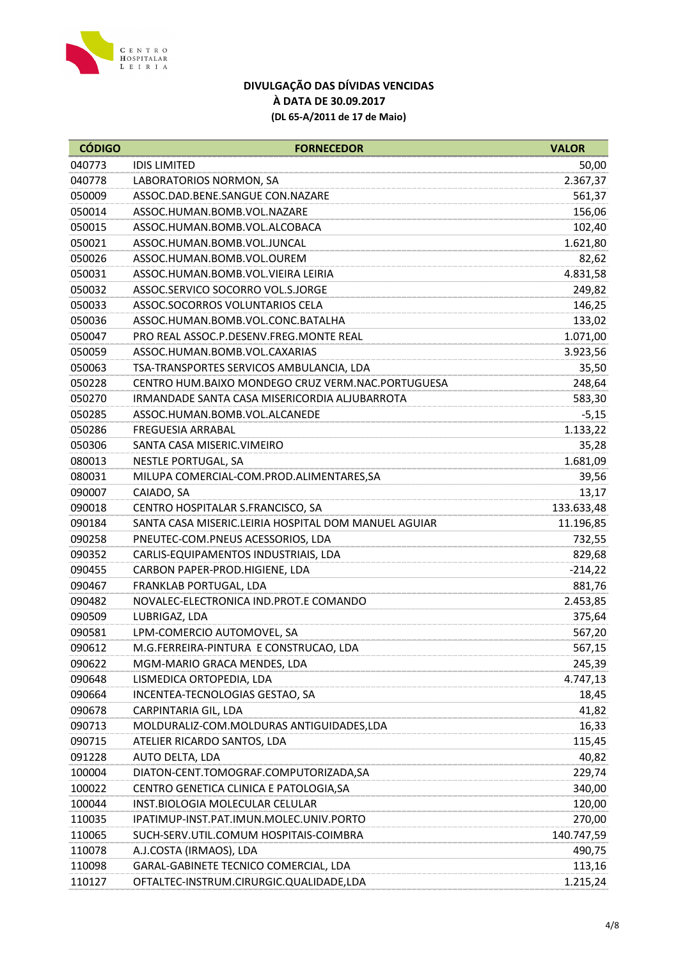

| <b>CÓDIGO</b> | <b>FORNECEDOR</b>                                    | <b>VALOR</b> |
|---------------|------------------------------------------------------|--------------|
| 040773        | <b>IDIS LIMITED</b>                                  | 50,00        |
| 040778        | LABORATORIOS NORMON, SA                              | 2.367,37     |
| 050009        | ASSOC.DAD.BENE.SANGUE CON.NAZARE                     | 561,37       |
| 050014        | ASSOC.HUMAN.BOMB.VOL.NAZARE                          | 156,06       |
| 050015        | ASSOC.HUMAN.BOMB.VOL.ALCOBACA                        | 102,40       |
| 050021        | ASSOC.HUMAN.BOMB.VOL.JUNCAL                          | 1.621,80     |
| 050026        | ASSOC.HUMAN.BOMB.VOL.OUREM                           | 82,62        |
| 050031        | ASSOC.HUMAN.BOMB.VOL.VIEIRA LEIRIA                   | 4.831,58     |
| 050032        | ASSOC.SERVICO SOCORRO VOL.S.JORGE                    | 249,82       |
| 050033        | ASSOC.SOCORROS VOLUNTARIOS CELA                      | 146,25       |
| 050036        | ASSOC.HUMAN.BOMB.VOL.CONC.BATALHA                    | 133,02       |
| 050047        | PRO REAL ASSOC.P.DESENV.FREG.MONTE REAL              | 1.071,00     |
| 050059        | ASSOC.HUMAN.BOMB.VOL.CAXARIAS                        | 3.923,56     |
| 050063        | TSA-TRANSPORTES SERVICOS AMBULANCIA, LDA             | 35,50        |
| 050228        | CENTRO HUM.BAIXO MONDEGO CRUZ VERM.NAC.PORTUGUESA    | 248,64       |
| 050270        | IRMANDADE SANTA CASA MISERICORDIA ALJUBARROTA        | 583,30       |
| 050285        | ASSOC.HUMAN.BOMB.VOL.ALCANEDE                        | $-5,15$      |
| 050286        | <b>FREGUESIA ARRABAL</b>                             | 1.133,22     |
| 050306        | SANTA CASA MISERIC. VIMEIRO                          | 35,28        |
| 080013        | <b>NESTLE PORTUGAL, SA</b>                           | 1.681,09     |
| 080031        | MILUPA COMERCIAL-COM.PROD.ALIMENTARES,SA             | 39,56        |
| 090007        | CAIADO, SA                                           | 13,17        |
| 090018        | CENTRO HOSPITALAR S.FRANCISCO, SA                    | 133.633,48   |
| 090184        | SANTA CASA MISERIC.LEIRIA HOSPITAL DOM MANUEL AGUIAR | 11.196,85    |
| 090258        | PNEUTEC-COM.PNEUS ACESSORIOS, LDA                    | 732,55       |
| 090352        | CARLIS-EQUIPAMENTOS INDUSTRIAIS, LDA                 | 829,68       |
| 090455        | CARBON PAPER-PROD.HIGIENE, LDA                       | $-214,22$    |
| 090467        | FRANKLAB PORTUGAL, LDA                               | 881,76       |
| 090482        | NOVALEC-ELECTRONICA IND.PROT.E COMANDO               | 2.453,85     |
| 090509        | LUBRIGAZ, LDA                                        | 375,64       |
| 090581        | LPM-COMERCIO AUTOMOVEL, SA                           | 567,20       |
| 090612        | M.G.FERREIRA-PINTURA E CONSTRUCAO, LDA               | 567,15       |
| 090622        | MGM-MARIO GRACA MENDES, LDA                          | 245,39       |
| 090648        | LISMEDICA ORTOPEDIA, LDA                             | 4.747,13     |
| 090664        | INCENTEA-TECNOLOGIAS GESTAO, SA                      | 18,45        |
| 090678        | CARPINTARIA GIL, LDA                                 | 41,82        |
| 090713        | MOLDURALIZ-COM.MOLDURAS ANTIGUIDADES,LDA             | 16,33        |
| 090715        | ATELIER RICARDO SANTOS, LDA                          | 115,45       |
| 091228        | AUTO DELTA, LDA                                      | 40,82        |
| 100004        | DIATON-CENT.TOMOGRAF.COMPUTORIZADA,SA                | 229,74       |
| 100022        | CENTRO GENETICA CLINICA E PATOLOGIA, SA              | 340,00       |
| 100044        | INST. BIOLOGIA MOLECULAR CELULAR                     | 120,00       |
| 110035        | IPATIMUP-INST.PAT.IMUN.MOLEC.UNIV.PORTO              | 270,00       |
| 110065        | SUCH-SERV.UTIL.COMUM HOSPITAIS-COIMBRA               | 140.747,59   |
| 110078        | A.J.COSTA (IRMAOS), LDA                              | 490,75       |
| 110098        | GARAL-GABINETE TECNICO COMERCIAL, LDA                | 113,16       |
| 110127        | OFTALTEC-INSTRUM.CIRURGIC.QUALIDADE,LDA              | 1.215,24     |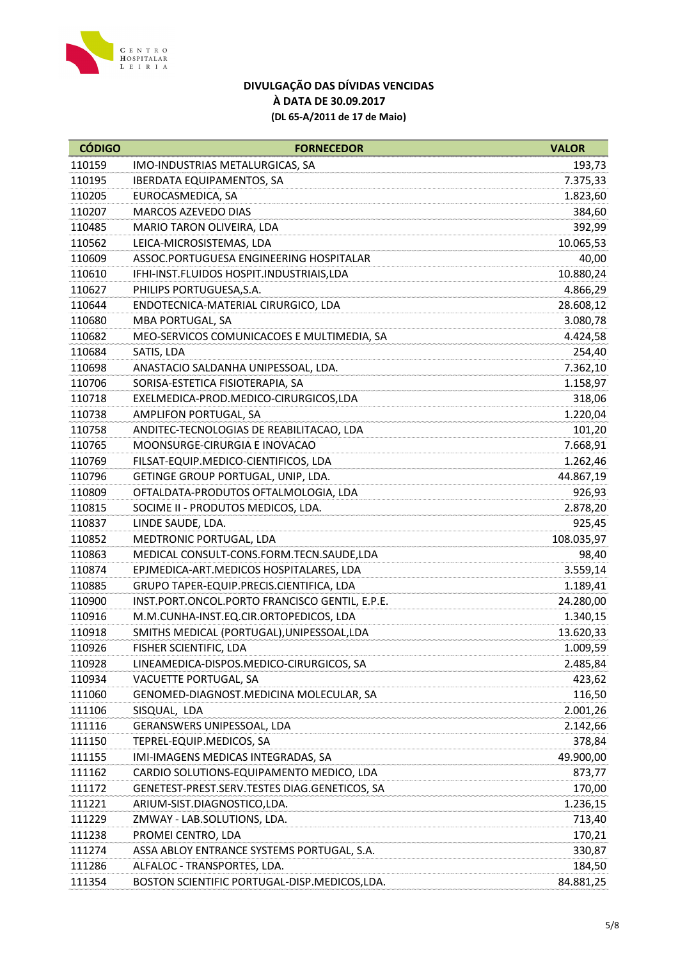

| 110159<br>IMO-INDUSTRIAS METALURGICAS, SA<br>193,73<br>110195<br><b>IBERDATA EQUIPAMENTOS, SA</b><br>7.375,33<br>110205<br>EUROCASMEDICA, SA<br>1.823,60<br>110207<br>MARCOS AZEVEDO DIAS<br>384,60<br>110485<br>MARIO TARON OLIVEIRA, LDA<br>392,99<br>110562<br>LEICA-MICROSISTEMAS, LDA<br>10.065,53<br>110609<br>ASSOC.PORTUGUESA ENGINEERING HOSPITALAR<br>40,00<br>10.880,24<br>110610<br>IFHI-INST.FLUIDOS HOSPIT.INDUSTRIAIS,LDA<br>110627<br>PHILIPS PORTUGUESA, S.A.<br>4.866,29<br>110644<br>ENDOTECNICA-MATERIAL CIRURGICO, LDA<br>28.608,12<br>110680<br>MBA PORTUGAL, SA<br>3.080,78<br>110682<br>MEO-SERVICOS COMUNICACOES E MULTIMEDIA, SA<br>4.424,58<br>110684<br>SATIS, LDA<br>254,40<br>7.362,10<br>110698<br>ANASTACIO SALDANHA UNIPESSOAL, LDA.<br>110706<br>SORISA-ESTETICA FISIOTERAPIA, SA<br>1.158,97<br>110718<br>EXELMEDICA-PROD.MEDICO-CIRURGICOS,LDA<br>318,06<br>110738<br>AMPLIFON PORTUGAL, SA<br>1.220,04<br>110758<br>ANDITEC-TECNOLOGIAS DE REABILITACAO, LDA<br>101,20<br>MOONSURGE-CIRURGIA E INOVACAO<br>7.668,91<br>110765<br>110769<br>FILSAT-EQUIP.MEDICO-CIENTIFICOS, LDA<br>1.262,46<br>GETINGE GROUP PORTUGAL, UNIP, LDA.<br>110796<br>44.867,19<br>110809<br>OFTALDATA-PRODUTOS OFTALMOLOGIA, LDA<br>926,93<br>110815<br>SOCIME II - PRODUTOS MEDICOS, LDA.<br>2.878,20<br>110837<br>LINDE SAUDE, LDA.<br>925,45<br>110852<br>MEDTRONIC PORTUGAL, LDA<br>108.035,97<br>110863<br>MEDICAL CONSULT-CONS.FORM.TECN.SAUDE,LDA<br>98,40<br>110874<br>EPJMEDICA-ART.MEDICOS HOSPITALARES, LDA<br>3.559,14<br>GRUPO TAPER-EQUIP.PRECIS.CIENTIFICA, LDA<br>110885<br>1.189,41<br>110900<br>INST.PORT.ONCOL.PORTO FRANCISCO GENTIL, E.P.E.<br>24.280,00<br>110916<br>M.M.CUNHA-INST.EQ.CIR.ORTOPEDICOS, LDA<br>1.340,15<br>SMITHS MEDICAL (PORTUGAL), UNIPESSOAL, LDA<br>110918<br>13.620,33<br>110926<br>FISHER SCIENTIFIC, LDA<br>1.009,59<br>110928<br>LINEAMEDICA-DISPOS.MEDICO-CIRURGICOS, SA<br>2.485,84<br>423,62<br>110934<br>VACUETTE PORTUGAL, SA<br>111060<br>GENOMED-DIAGNOST. MEDICINA MOLECULAR, SA<br>116,50<br>111106<br>2.001,26<br>SISQUAL, LDA<br>111116<br>GERANSWERS UNIPESSOAL, LDA<br>2.142,66<br>TEPREL-EQUIP.MEDICOS, SA<br>378,84<br>111150<br>111155<br>IMI-IMAGENS MEDICAS INTEGRADAS, SA<br>49.900,00<br>111162<br>CARDIO SOLUTIONS-EQUIPAMENTO MEDICO, LDA<br>873,77<br>111172<br>GENETEST-PREST.SERV.TESTES DIAG.GENETICOS, SA<br>170,00<br>111221<br>ARIUM-SIST.DIAGNOSTICO,LDA.<br>1.236,15<br>111229<br>ZMWAY - LAB.SOLUTIONS, LDA.<br>713,40<br>111238<br>PROMEI CENTRO, LDA<br>170,21<br>111274<br>ASSA ABLOY ENTRANCE SYSTEMS PORTUGAL, S.A.<br>330,87<br>ALFALOC - TRANSPORTES, LDA.<br>111286<br>184,50<br>111354<br>BOSTON SCIENTIFIC PORTUGAL-DISP.MEDICOS, LDA.<br>84.881,25 | <b>CÓDIGO</b> | <b>FORNECEDOR</b> | <b>VALOR</b> |
|-------------------------------------------------------------------------------------------------------------------------------------------------------------------------------------------------------------------------------------------------------------------------------------------------------------------------------------------------------------------------------------------------------------------------------------------------------------------------------------------------------------------------------------------------------------------------------------------------------------------------------------------------------------------------------------------------------------------------------------------------------------------------------------------------------------------------------------------------------------------------------------------------------------------------------------------------------------------------------------------------------------------------------------------------------------------------------------------------------------------------------------------------------------------------------------------------------------------------------------------------------------------------------------------------------------------------------------------------------------------------------------------------------------------------------------------------------------------------------------------------------------------------------------------------------------------------------------------------------------------------------------------------------------------------------------------------------------------------------------------------------------------------------------------------------------------------------------------------------------------------------------------------------------------------------------------------------------------------------------------------------------------------------------------------------------------------------------------------------------------------------------------------------------------------------------------------------------------------------------------------------------------------------------------------------------------------------------------------------------------------------------------------------------------------------------------------------------------------------------------------------------------------------------------------------------------------------------------------------------------------------------------------------------------------------------------------------------------------------------------------------------|---------------|-------------------|--------------|
|                                                                                                                                                                                                                                                                                                                                                                                                                                                                                                                                                                                                                                                                                                                                                                                                                                                                                                                                                                                                                                                                                                                                                                                                                                                                                                                                                                                                                                                                                                                                                                                                                                                                                                                                                                                                                                                                                                                                                                                                                                                                                                                                                                                                                                                                                                                                                                                                                                                                                                                                                                                                                                                                                                                                                             |               |                   |              |
|                                                                                                                                                                                                                                                                                                                                                                                                                                                                                                                                                                                                                                                                                                                                                                                                                                                                                                                                                                                                                                                                                                                                                                                                                                                                                                                                                                                                                                                                                                                                                                                                                                                                                                                                                                                                                                                                                                                                                                                                                                                                                                                                                                                                                                                                                                                                                                                                                                                                                                                                                                                                                                                                                                                                                             |               |                   |              |
|                                                                                                                                                                                                                                                                                                                                                                                                                                                                                                                                                                                                                                                                                                                                                                                                                                                                                                                                                                                                                                                                                                                                                                                                                                                                                                                                                                                                                                                                                                                                                                                                                                                                                                                                                                                                                                                                                                                                                                                                                                                                                                                                                                                                                                                                                                                                                                                                                                                                                                                                                                                                                                                                                                                                                             |               |                   |              |
|                                                                                                                                                                                                                                                                                                                                                                                                                                                                                                                                                                                                                                                                                                                                                                                                                                                                                                                                                                                                                                                                                                                                                                                                                                                                                                                                                                                                                                                                                                                                                                                                                                                                                                                                                                                                                                                                                                                                                                                                                                                                                                                                                                                                                                                                                                                                                                                                                                                                                                                                                                                                                                                                                                                                                             |               |                   |              |
|                                                                                                                                                                                                                                                                                                                                                                                                                                                                                                                                                                                                                                                                                                                                                                                                                                                                                                                                                                                                                                                                                                                                                                                                                                                                                                                                                                                                                                                                                                                                                                                                                                                                                                                                                                                                                                                                                                                                                                                                                                                                                                                                                                                                                                                                                                                                                                                                                                                                                                                                                                                                                                                                                                                                                             |               |                   |              |
|                                                                                                                                                                                                                                                                                                                                                                                                                                                                                                                                                                                                                                                                                                                                                                                                                                                                                                                                                                                                                                                                                                                                                                                                                                                                                                                                                                                                                                                                                                                                                                                                                                                                                                                                                                                                                                                                                                                                                                                                                                                                                                                                                                                                                                                                                                                                                                                                                                                                                                                                                                                                                                                                                                                                                             |               |                   |              |
|                                                                                                                                                                                                                                                                                                                                                                                                                                                                                                                                                                                                                                                                                                                                                                                                                                                                                                                                                                                                                                                                                                                                                                                                                                                                                                                                                                                                                                                                                                                                                                                                                                                                                                                                                                                                                                                                                                                                                                                                                                                                                                                                                                                                                                                                                                                                                                                                                                                                                                                                                                                                                                                                                                                                                             |               |                   |              |
|                                                                                                                                                                                                                                                                                                                                                                                                                                                                                                                                                                                                                                                                                                                                                                                                                                                                                                                                                                                                                                                                                                                                                                                                                                                                                                                                                                                                                                                                                                                                                                                                                                                                                                                                                                                                                                                                                                                                                                                                                                                                                                                                                                                                                                                                                                                                                                                                                                                                                                                                                                                                                                                                                                                                                             |               |                   |              |
|                                                                                                                                                                                                                                                                                                                                                                                                                                                                                                                                                                                                                                                                                                                                                                                                                                                                                                                                                                                                                                                                                                                                                                                                                                                                                                                                                                                                                                                                                                                                                                                                                                                                                                                                                                                                                                                                                                                                                                                                                                                                                                                                                                                                                                                                                                                                                                                                                                                                                                                                                                                                                                                                                                                                                             |               |                   |              |
|                                                                                                                                                                                                                                                                                                                                                                                                                                                                                                                                                                                                                                                                                                                                                                                                                                                                                                                                                                                                                                                                                                                                                                                                                                                                                                                                                                                                                                                                                                                                                                                                                                                                                                                                                                                                                                                                                                                                                                                                                                                                                                                                                                                                                                                                                                                                                                                                                                                                                                                                                                                                                                                                                                                                                             |               |                   |              |
|                                                                                                                                                                                                                                                                                                                                                                                                                                                                                                                                                                                                                                                                                                                                                                                                                                                                                                                                                                                                                                                                                                                                                                                                                                                                                                                                                                                                                                                                                                                                                                                                                                                                                                                                                                                                                                                                                                                                                                                                                                                                                                                                                                                                                                                                                                                                                                                                                                                                                                                                                                                                                                                                                                                                                             |               |                   |              |
|                                                                                                                                                                                                                                                                                                                                                                                                                                                                                                                                                                                                                                                                                                                                                                                                                                                                                                                                                                                                                                                                                                                                                                                                                                                                                                                                                                                                                                                                                                                                                                                                                                                                                                                                                                                                                                                                                                                                                                                                                                                                                                                                                                                                                                                                                                                                                                                                                                                                                                                                                                                                                                                                                                                                                             |               |                   |              |
|                                                                                                                                                                                                                                                                                                                                                                                                                                                                                                                                                                                                                                                                                                                                                                                                                                                                                                                                                                                                                                                                                                                                                                                                                                                                                                                                                                                                                                                                                                                                                                                                                                                                                                                                                                                                                                                                                                                                                                                                                                                                                                                                                                                                                                                                                                                                                                                                                                                                                                                                                                                                                                                                                                                                                             |               |                   |              |
|                                                                                                                                                                                                                                                                                                                                                                                                                                                                                                                                                                                                                                                                                                                                                                                                                                                                                                                                                                                                                                                                                                                                                                                                                                                                                                                                                                                                                                                                                                                                                                                                                                                                                                                                                                                                                                                                                                                                                                                                                                                                                                                                                                                                                                                                                                                                                                                                                                                                                                                                                                                                                                                                                                                                                             |               |                   |              |
|                                                                                                                                                                                                                                                                                                                                                                                                                                                                                                                                                                                                                                                                                                                                                                                                                                                                                                                                                                                                                                                                                                                                                                                                                                                                                                                                                                                                                                                                                                                                                                                                                                                                                                                                                                                                                                                                                                                                                                                                                                                                                                                                                                                                                                                                                                                                                                                                                                                                                                                                                                                                                                                                                                                                                             |               |                   |              |
|                                                                                                                                                                                                                                                                                                                                                                                                                                                                                                                                                                                                                                                                                                                                                                                                                                                                                                                                                                                                                                                                                                                                                                                                                                                                                                                                                                                                                                                                                                                                                                                                                                                                                                                                                                                                                                                                                                                                                                                                                                                                                                                                                                                                                                                                                                                                                                                                                                                                                                                                                                                                                                                                                                                                                             |               |                   |              |
|                                                                                                                                                                                                                                                                                                                                                                                                                                                                                                                                                                                                                                                                                                                                                                                                                                                                                                                                                                                                                                                                                                                                                                                                                                                                                                                                                                                                                                                                                                                                                                                                                                                                                                                                                                                                                                                                                                                                                                                                                                                                                                                                                                                                                                                                                                                                                                                                                                                                                                                                                                                                                                                                                                                                                             |               |                   |              |
|                                                                                                                                                                                                                                                                                                                                                                                                                                                                                                                                                                                                                                                                                                                                                                                                                                                                                                                                                                                                                                                                                                                                                                                                                                                                                                                                                                                                                                                                                                                                                                                                                                                                                                                                                                                                                                                                                                                                                                                                                                                                                                                                                                                                                                                                                                                                                                                                                                                                                                                                                                                                                                                                                                                                                             |               |                   |              |
|                                                                                                                                                                                                                                                                                                                                                                                                                                                                                                                                                                                                                                                                                                                                                                                                                                                                                                                                                                                                                                                                                                                                                                                                                                                                                                                                                                                                                                                                                                                                                                                                                                                                                                                                                                                                                                                                                                                                                                                                                                                                                                                                                                                                                                                                                                                                                                                                                                                                                                                                                                                                                                                                                                                                                             |               |                   |              |
|                                                                                                                                                                                                                                                                                                                                                                                                                                                                                                                                                                                                                                                                                                                                                                                                                                                                                                                                                                                                                                                                                                                                                                                                                                                                                                                                                                                                                                                                                                                                                                                                                                                                                                                                                                                                                                                                                                                                                                                                                                                                                                                                                                                                                                                                                                                                                                                                                                                                                                                                                                                                                                                                                                                                                             |               |                   |              |
|                                                                                                                                                                                                                                                                                                                                                                                                                                                                                                                                                                                                                                                                                                                                                                                                                                                                                                                                                                                                                                                                                                                                                                                                                                                                                                                                                                                                                                                                                                                                                                                                                                                                                                                                                                                                                                                                                                                                                                                                                                                                                                                                                                                                                                                                                                                                                                                                                                                                                                                                                                                                                                                                                                                                                             |               |                   |              |
|                                                                                                                                                                                                                                                                                                                                                                                                                                                                                                                                                                                                                                                                                                                                                                                                                                                                                                                                                                                                                                                                                                                                                                                                                                                                                                                                                                                                                                                                                                                                                                                                                                                                                                                                                                                                                                                                                                                                                                                                                                                                                                                                                                                                                                                                                                                                                                                                                                                                                                                                                                                                                                                                                                                                                             |               |                   |              |
|                                                                                                                                                                                                                                                                                                                                                                                                                                                                                                                                                                                                                                                                                                                                                                                                                                                                                                                                                                                                                                                                                                                                                                                                                                                                                                                                                                                                                                                                                                                                                                                                                                                                                                                                                                                                                                                                                                                                                                                                                                                                                                                                                                                                                                                                                                                                                                                                                                                                                                                                                                                                                                                                                                                                                             |               |                   |              |
|                                                                                                                                                                                                                                                                                                                                                                                                                                                                                                                                                                                                                                                                                                                                                                                                                                                                                                                                                                                                                                                                                                                                                                                                                                                                                                                                                                                                                                                                                                                                                                                                                                                                                                                                                                                                                                                                                                                                                                                                                                                                                                                                                                                                                                                                                                                                                                                                                                                                                                                                                                                                                                                                                                                                                             |               |                   |              |
|                                                                                                                                                                                                                                                                                                                                                                                                                                                                                                                                                                                                                                                                                                                                                                                                                                                                                                                                                                                                                                                                                                                                                                                                                                                                                                                                                                                                                                                                                                                                                                                                                                                                                                                                                                                                                                                                                                                                                                                                                                                                                                                                                                                                                                                                                                                                                                                                                                                                                                                                                                                                                                                                                                                                                             |               |                   |              |
|                                                                                                                                                                                                                                                                                                                                                                                                                                                                                                                                                                                                                                                                                                                                                                                                                                                                                                                                                                                                                                                                                                                                                                                                                                                                                                                                                                                                                                                                                                                                                                                                                                                                                                                                                                                                                                                                                                                                                                                                                                                                                                                                                                                                                                                                                                                                                                                                                                                                                                                                                                                                                                                                                                                                                             |               |                   |              |
|                                                                                                                                                                                                                                                                                                                                                                                                                                                                                                                                                                                                                                                                                                                                                                                                                                                                                                                                                                                                                                                                                                                                                                                                                                                                                                                                                                                                                                                                                                                                                                                                                                                                                                                                                                                                                                                                                                                                                                                                                                                                                                                                                                                                                                                                                                                                                                                                                                                                                                                                                                                                                                                                                                                                                             |               |                   |              |
|                                                                                                                                                                                                                                                                                                                                                                                                                                                                                                                                                                                                                                                                                                                                                                                                                                                                                                                                                                                                                                                                                                                                                                                                                                                                                                                                                                                                                                                                                                                                                                                                                                                                                                                                                                                                                                                                                                                                                                                                                                                                                                                                                                                                                                                                                                                                                                                                                                                                                                                                                                                                                                                                                                                                                             |               |                   |              |
|                                                                                                                                                                                                                                                                                                                                                                                                                                                                                                                                                                                                                                                                                                                                                                                                                                                                                                                                                                                                                                                                                                                                                                                                                                                                                                                                                                                                                                                                                                                                                                                                                                                                                                                                                                                                                                                                                                                                                                                                                                                                                                                                                                                                                                                                                                                                                                                                                                                                                                                                                                                                                                                                                                                                                             |               |                   |              |
|                                                                                                                                                                                                                                                                                                                                                                                                                                                                                                                                                                                                                                                                                                                                                                                                                                                                                                                                                                                                                                                                                                                                                                                                                                                                                                                                                                                                                                                                                                                                                                                                                                                                                                                                                                                                                                                                                                                                                                                                                                                                                                                                                                                                                                                                                                                                                                                                                                                                                                                                                                                                                                                                                                                                                             |               |                   |              |
|                                                                                                                                                                                                                                                                                                                                                                                                                                                                                                                                                                                                                                                                                                                                                                                                                                                                                                                                                                                                                                                                                                                                                                                                                                                                                                                                                                                                                                                                                                                                                                                                                                                                                                                                                                                                                                                                                                                                                                                                                                                                                                                                                                                                                                                                                                                                                                                                                                                                                                                                                                                                                                                                                                                                                             |               |                   |              |
|                                                                                                                                                                                                                                                                                                                                                                                                                                                                                                                                                                                                                                                                                                                                                                                                                                                                                                                                                                                                                                                                                                                                                                                                                                                                                                                                                                                                                                                                                                                                                                                                                                                                                                                                                                                                                                                                                                                                                                                                                                                                                                                                                                                                                                                                                                                                                                                                                                                                                                                                                                                                                                                                                                                                                             |               |                   |              |
|                                                                                                                                                                                                                                                                                                                                                                                                                                                                                                                                                                                                                                                                                                                                                                                                                                                                                                                                                                                                                                                                                                                                                                                                                                                                                                                                                                                                                                                                                                                                                                                                                                                                                                                                                                                                                                                                                                                                                                                                                                                                                                                                                                                                                                                                                                                                                                                                                                                                                                                                                                                                                                                                                                                                                             |               |                   |              |
|                                                                                                                                                                                                                                                                                                                                                                                                                                                                                                                                                                                                                                                                                                                                                                                                                                                                                                                                                                                                                                                                                                                                                                                                                                                                                                                                                                                                                                                                                                                                                                                                                                                                                                                                                                                                                                                                                                                                                                                                                                                                                                                                                                                                                                                                                                                                                                                                                                                                                                                                                                                                                                                                                                                                                             |               |                   |              |
|                                                                                                                                                                                                                                                                                                                                                                                                                                                                                                                                                                                                                                                                                                                                                                                                                                                                                                                                                                                                                                                                                                                                                                                                                                                                                                                                                                                                                                                                                                                                                                                                                                                                                                                                                                                                                                                                                                                                                                                                                                                                                                                                                                                                                                                                                                                                                                                                                                                                                                                                                                                                                                                                                                                                                             |               |                   |              |
|                                                                                                                                                                                                                                                                                                                                                                                                                                                                                                                                                                                                                                                                                                                                                                                                                                                                                                                                                                                                                                                                                                                                                                                                                                                                                                                                                                                                                                                                                                                                                                                                                                                                                                                                                                                                                                                                                                                                                                                                                                                                                                                                                                                                                                                                                                                                                                                                                                                                                                                                                                                                                                                                                                                                                             |               |                   |              |
|                                                                                                                                                                                                                                                                                                                                                                                                                                                                                                                                                                                                                                                                                                                                                                                                                                                                                                                                                                                                                                                                                                                                                                                                                                                                                                                                                                                                                                                                                                                                                                                                                                                                                                                                                                                                                                                                                                                                                                                                                                                                                                                                                                                                                                                                                                                                                                                                                                                                                                                                                                                                                                                                                                                                                             |               |                   |              |
|                                                                                                                                                                                                                                                                                                                                                                                                                                                                                                                                                                                                                                                                                                                                                                                                                                                                                                                                                                                                                                                                                                                                                                                                                                                                                                                                                                                                                                                                                                                                                                                                                                                                                                                                                                                                                                                                                                                                                                                                                                                                                                                                                                                                                                                                                                                                                                                                                                                                                                                                                                                                                                                                                                                                                             |               |                   |              |
|                                                                                                                                                                                                                                                                                                                                                                                                                                                                                                                                                                                                                                                                                                                                                                                                                                                                                                                                                                                                                                                                                                                                                                                                                                                                                                                                                                                                                                                                                                                                                                                                                                                                                                                                                                                                                                                                                                                                                                                                                                                                                                                                                                                                                                                                                                                                                                                                                                                                                                                                                                                                                                                                                                                                                             |               |                   |              |
|                                                                                                                                                                                                                                                                                                                                                                                                                                                                                                                                                                                                                                                                                                                                                                                                                                                                                                                                                                                                                                                                                                                                                                                                                                                                                                                                                                                                                                                                                                                                                                                                                                                                                                                                                                                                                                                                                                                                                                                                                                                                                                                                                                                                                                                                                                                                                                                                                                                                                                                                                                                                                                                                                                                                                             |               |                   |              |
|                                                                                                                                                                                                                                                                                                                                                                                                                                                                                                                                                                                                                                                                                                                                                                                                                                                                                                                                                                                                                                                                                                                                                                                                                                                                                                                                                                                                                                                                                                                                                                                                                                                                                                                                                                                                                                                                                                                                                                                                                                                                                                                                                                                                                                                                                                                                                                                                                                                                                                                                                                                                                                                                                                                                                             |               |                   |              |
|                                                                                                                                                                                                                                                                                                                                                                                                                                                                                                                                                                                                                                                                                                                                                                                                                                                                                                                                                                                                                                                                                                                                                                                                                                                                                                                                                                                                                                                                                                                                                                                                                                                                                                                                                                                                                                                                                                                                                                                                                                                                                                                                                                                                                                                                                                                                                                                                                                                                                                                                                                                                                                                                                                                                                             |               |                   |              |
|                                                                                                                                                                                                                                                                                                                                                                                                                                                                                                                                                                                                                                                                                                                                                                                                                                                                                                                                                                                                                                                                                                                                                                                                                                                                                                                                                                                                                                                                                                                                                                                                                                                                                                                                                                                                                                                                                                                                                                                                                                                                                                                                                                                                                                                                                                                                                                                                                                                                                                                                                                                                                                                                                                                                                             |               |                   |              |
|                                                                                                                                                                                                                                                                                                                                                                                                                                                                                                                                                                                                                                                                                                                                                                                                                                                                                                                                                                                                                                                                                                                                                                                                                                                                                                                                                                                                                                                                                                                                                                                                                                                                                                                                                                                                                                                                                                                                                                                                                                                                                                                                                                                                                                                                                                                                                                                                                                                                                                                                                                                                                                                                                                                                                             |               |                   |              |
|                                                                                                                                                                                                                                                                                                                                                                                                                                                                                                                                                                                                                                                                                                                                                                                                                                                                                                                                                                                                                                                                                                                                                                                                                                                                                                                                                                                                                                                                                                                                                                                                                                                                                                                                                                                                                                                                                                                                                                                                                                                                                                                                                                                                                                                                                                                                                                                                                                                                                                                                                                                                                                                                                                                                                             |               |                   |              |
|                                                                                                                                                                                                                                                                                                                                                                                                                                                                                                                                                                                                                                                                                                                                                                                                                                                                                                                                                                                                                                                                                                                                                                                                                                                                                                                                                                                                                                                                                                                                                                                                                                                                                                                                                                                                                                                                                                                                                                                                                                                                                                                                                                                                                                                                                                                                                                                                                                                                                                                                                                                                                                                                                                                                                             |               |                   |              |
|                                                                                                                                                                                                                                                                                                                                                                                                                                                                                                                                                                                                                                                                                                                                                                                                                                                                                                                                                                                                                                                                                                                                                                                                                                                                                                                                                                                                                                                                                                                                                                                                                                                                                                                                                                                                                                                                                                                                                                                                                                                                                                                                                                                                                                                                                                                                                                                                                                                                                                                                                                                                                                                                                                                                                             |               |                   |              |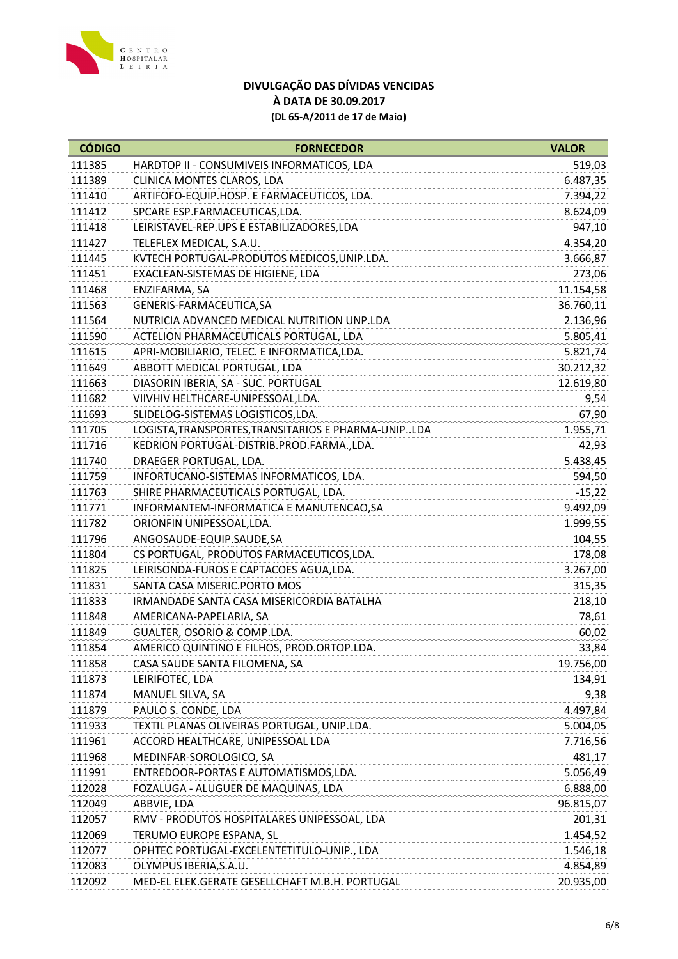

| <b>CÓDIGO</b> | <b>FORNECEDOR</b>                                   | <b>VALOR</b> |
|---------------|-----------------------------------------------------|--------------|
| 111385        | HARDTOP II - CONSUMIVEIS INFORMATICOS, LDA          | 519,03       |
| 111389        | CLINICA MONTES CLAROS, LDA                          | 6.487,35     |
| 111410        | ARTIFOFO-EQUIP.HOSP. E FARMACEUTICOS, LDA.          | 7.394,22     |
| 111412        | SPCARE ESP.FARMACEUTICAS,LDA.                       | 8.624,09     |
| 111418        | LEIRISTAVEL-REP.UPS E ESTABILIZADORES, LDA          | 947,10       |
| 111427        | TELEFLEX MEDICAL, S.A.U.                            | 4.354,20     |
| 111445        | KVTECH PORTUGAL-PRODUTOS MEDICOS, UNIP.LDA.         | 3.666,87     |
| 111451        | EXACLEAN-SISTEMAS DE HIGIENE, LDA                   | 273,06       |
| 111468        | ENZIFARMA, SA                                       | 11.154,58    |
| 111563        | GENERIS-FARMACEUTICA, SA                            | 36.760,11    |
| 111564        | NUTRICIA ADVANCED MEDICAL NUTRITION UNP.LDA         | 2.136,96     |
| 111590        | ACTELION PHARMACEUTICALS PORTUGAL, LDA              | 5.805,41     |
| 111615        | APRI-MOBILIARIO, TELEC. E INFORMATICA, LDA.         | 5.821,74     |
| 111649        | ABBOTT MEDICAL PORTUGAL, LDA                        | 30.212,32    |
| 111663        | DIASORIN IBERIA, SA - SUC. PORTUGAL                 | 12.619,80    |
| 111682        | VIIVHIV HELTHCARE-UNIPESSOAL, LDA.                  | 9,54         |
| 111693        | SLIDELOG-SISTEMAS LOGISTICOS, LDA.                  | 67,90        |
| 111705        | LOGISTA, TRANSPORTES, TRANSITARIOS E PHARMA-UNIPLDA | 1.955,71     |
| 111716        | KEDRION PORTUGAL-DISTRIB.PROD.FARMA.,LDA.           | 42,93        |
| 111740        | DRAEGER PORTUGAL, LDA.                              | 5.438,45     |
| 111759        | INFORTUCANO-SISTEMAS INFORMATICOS, LDA.             | 594,50       |
| 111763        | SHIRE PHARMACEUTICALS PORTUGAL, LDA.                | $-15,22$     |
| 111771        | INFORMANTEM-INFORMATICA E MANUTENCAO, SA            | 9.492,09     |
| 111782        | ORIONFIN UNIPESSOAL, LDA.                           | 1.999,55     |
| 111796        | ANGOSAUDE-EQUIP.SAUDE,SA                            | 104,55       |
| 111804        | CS PORTUGAL, PRODUTOS FARMACEUTICOS, LDA.           | 178,08       |
| 111825        | LEIRISONDA-FUROS E CAPTACOES AGUA, LDA.             | 3.267,00     |
| 111831        | SANTA CASA MISERIC.PORTO MOS                        | 315,35       |
| 111833        | IRMANDADE SANTA CASA MISERICORDIA BATALHA           | 218,10       |
| 111848        | AMERICANA-PAPELARIA, SA                             | 78,61        |
| 111849        | GUALTER, OSORIO & COMP.LDA.                         | 60,02        |
| 111854        | AMERICO QUINTINO E FILHOS, PROD.ORTOP.LDA.          | 33,84        |
| 111858        | CASA SAUDE SANTA FILOMENA, SA                       | 19.756,00    |
| 111873        | LEIRIFOTEC, LDA                                     | 134,91       |
| 111874        | MANUEL SILVA, SA                                    | 9,38         |
| 111879        | PAULO S. CONDE, LDA                                 | 4.497,84     |
| 111933        | TEXTIL PLANAS OLIVEIRAS PORTUGAL, UNIP.LDA.         | 5.004,05     |
| 111961        | ACCORD HEALTHCARE, UNIPESSOAL LDA                   | 7.716,56     |
| 111968        | MEDINFAR-SOROLOGICO, SA                             | 481,17       |
| 111991        | ENTREDOOR-PORTAS E AUTOMATISMOS, LDA.               | 5.056,49     |
| 112028        | FOZALUGA - ALUGUER DE MAQUINAS, LDA                 | 6.888,00     |
| 112049        | ABBVIE, LDA                                         | 96.815,07    |
| 112057        | RMV - PRODUTOS HOSPITALARES UNIPESSOAL, LDA         | 201,31       |
| 112069        | TERUMO EUROPE ESPANA, SL                            | 1.454,52     |
| 112077        | OPHTEC PORTUGAL-EXCELENTETITULO-UNIP., LDA          | 1.546,18     |
| 112083        | OLYMPUS IBERIA, S.A.U.                              | 4.854,89     |
| 112092        | MED-EL ELEK.GERATE GESELLCHAFT M.B.H. PORTUGAL      | 20.935,00    |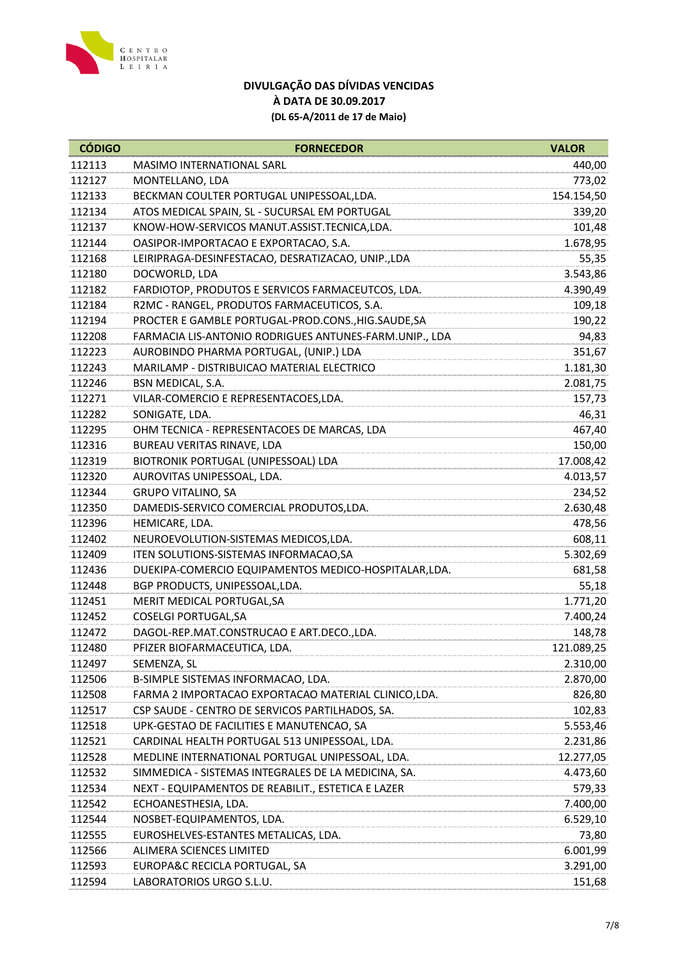

| <b>CÓDIGO</b> | <b>FORNECEDOR</b>                                      | <b>VALOR</b> |
|---------------|--------------------------------------------------------|--------------|
| 112113        | MASIMO INTERNATIONAL SARL                              | 440,00       |
| 112127        | MONTELLANO, LDA                                        | 773,02       |
| 112133        | BECKMAN COULTER PORTUGAL UNIPESSOAL, LDA.              | 154.154,50   |
| 112134        | ATOS MEDICAL SPAIN, SL - SUCURSAL EM PORTUGAL          | 339,20       |
| 112137        | KNOW-HOW-SERVICOS MANUT.ASSIST.TECNICA,LDA.            | 101,48       |
| 112144        | OASIPOR-IMPORTACAO E EXPORTACAO, S.A.                  | 1.678,95     |
| 112168        | LEIRIPRAGA-DESINFESTACAO, DESRATIZACAO, UNIP.,LDA      | 55,35        |
| 112180        | DOCWORLD, LDA                                          | 3.543,86     |
| 112182        | FARDIOTOP, PRODUTOS E SERVICOS FARMACEUTCOS, LDA.      | 4.390,49     |
| 112184        | R2MC - RANGEL, PRODUTOS FARMACEUTICOS, S.A.            | 109,18       |
| 112194        | PROCTER E GAMBLE PORTUGAL-PROD.CONS., HIG.SAUDE, SA    | 190,22       |
| 112208        | FARMACIA LIS-ANTONIO RODRIGUES ANTUNES-FARM.UNIP., LDA | 94,83        |
| 112223        | AUROBINDO PHARMA PORTUGAL, (UNIP.) LDA                 | 351,67       |
| 112243        | MARILAMP - DISTRIBUICAO MATERIAL ELECTRICO             | 1.181,30     |
| 112246        | BSN MEDICAL, S.A.                                      | 2.081,75     |
| 112271        | VILAR-COMERCIO E REPRESENTACOES, LDA.                  | 157,73       |
| 112282        | SONIGATE, LDA.                                         | 46,31        |
| 112295        | OHM TECNICA - REPRESENTACOES DE MARCAS, LDA            | 467,40       |
| 112316        | BUREAU VERITAS RINAVE, LDA                             | 150,00       |
| 112319        | BIOTRONIK PORTUGAL (UNIPESSOAL) LDA                    | 17.008,42    |
| 112320        | AUROVITAS UNIPESSOAL, LDA.                             | 4.013,57     |
| 112344        | <b>GRUPO VITALINO, SA</b>                              | 234,52       |
| 112350        | DAMEDIS-SERVICO COMERCIAL PRODUTOS, LDA.               | 2.630,48     |
| 112396        | HEMICARE, LDA.                                         | 478,56       |
| 112402        | NEUROEVOLUTION-SISTEMAS MEDICOS, LDA.                  | 608,11       |
| 112409        | ITEN SOLUTIONS-SISTEMAS INFORMACAO, SA                 | 5.302,69     |
| 112436        | DUEKIPA-COMERCIO EQUIPAMENTOS MEDICO-HOSPITALAR, LDA.  | 681,58       |
| 112448        | BGP PRODUCTS, UNIPESSOAL, LDA.                         | 55,18        |
| 112451        | MERIT MEDICAL PORTUGAL, SA                             | 1.771,20     |
| 112452        | <b>COSELGI PORTUGAL, SA</b>                            | 7.400,24     |
| 112472        | DAGOL-REP.MAT.CONSTRUCAO E ART.DECO.,LDA.              | 148,78       |
| 112480        | PFIZER BIOFARMACEUTICA, LDA.                           | 121.089,25   |
| 112497        | SEMENZA, SL                                            | 2.310,00     |
| 112506        | B-SIMPLE SISTEMAS INFORMACAO, LDA.                     | 2.870,00     |
| 112508        | FARMA 2 IMPORTACAO EXPORTACAO MATERIAL CLINICO, LDA.   | 826,80       |
| 112517        | CSP SAUDE - CENTRO DE SERVICOS PARTILHADOS, SA.        | 102,83       |
| 112518        | UPK-GESTAO DE FACILITIES E MANUTENCAO, SA              | 5.553,46     |
| 112521        | CARDINAL HEALTH PORTUGAL 513 UNIPESSOAL, LDA.          | 2.231,86     |
| 112528        | MEDLINE INTERNATIONAL PORTUGAL UNIPESSOAL, LDA.        | 12.277,05    |
| 112532        | SIMMEDICA - SISTEMAS INTEGRALES DE LA MEDICINA, SA.    | 4.473,60     |
| 112534        | NEXT - EQUIPAMENTOS DE REABILIT., ESTETICA E LAZER     | 579,33       |
| 112542        | ECHOANESTHESIA, LDA.                                   | 7.400,00     |
| 112544        | NOSBET-EQUIPAMENTOS, LDA.                              | 6.529,10     |
| 112555        | EUROSHELVES-ESTANTES METALICAS, LDA.                   | 73,80        |
| 112566        | ALIMERA SCIENCES LIMITED                               | 6.001,99     |
| 112593        | EUROPA&C RECICLA PORTUGAL, SA                          | 3.291,00     |
| 112594        | LABORATORIOS URGO S.L.U.                               | 151,68       |